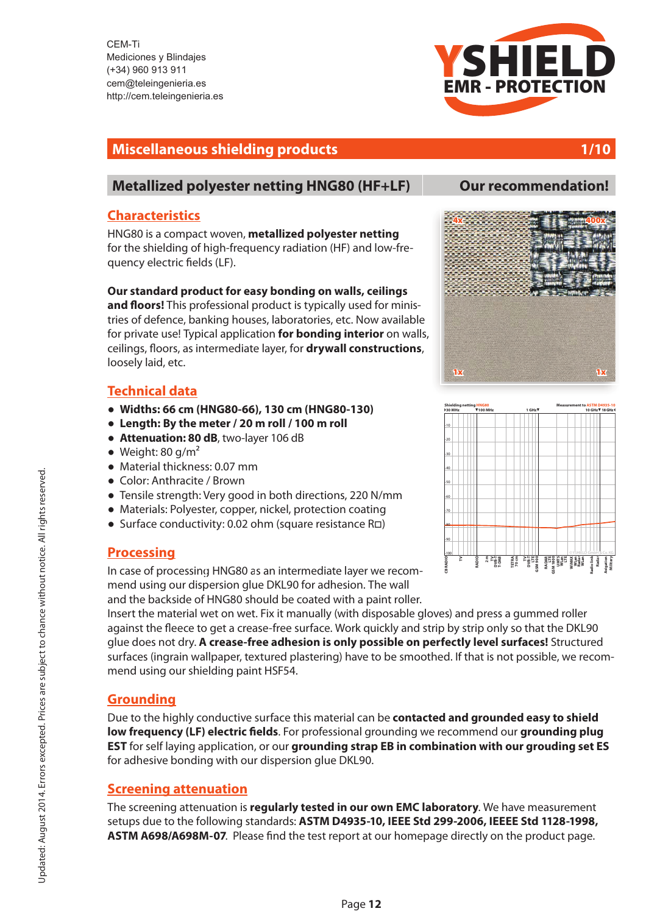CEM-Ti 0 - 101<br>940 Ruhston, 1011<br>950 Ruhston, 1011 Mediciones y Blindajes cem@teleingenieria.es cenn@telemgemena.es<br>http://eers.telein.cenierie.j http://cem.teleingenieria.es (+34) 960 913 911

# EMR - PROTECTION YSHIELD

# **Miscellaneous shielding products** 1/10

# **[Metallized polyester netting HNG80 \(HF+LF\)](http://cem.teleingenieria.es/epages/eb5065.sf/es_ES/?ObjectPath=/Shops/eb5065/Products/HNG80) Our recommendation!**

## **Characteristics**

HNG80 is a compact woven, **metallized polyester netting** for the shielding of high-frequency radiation (HF) and low-frequency electric fields (LF).

**Our standard product for easy bonding on walls, ceilings** 

and floors! This professional product is typically used for ministries of defence, banking houses, laboratories, etc. Now available for private use! Typical application **for bonding interior** on walls, ceilings, floors, as intermediate layer, for **drywall constructions**, loosely laid, etc.

# **Technical data**

- **!" Widths: 66 cm (HNG80-66), 130 cm (HNG80-130)**
- **!" Length: By the meter / 20 m roll / 100 m roll**
- **Attenuation: 80 dB**, two-layer 106 dB
- $\bullet$  Weight: 80 g/m<sup>2</sup>
- $\bullet$  Material thickness: 0.07 mm
- Color: Anthracite / Brown
- Tensile strength: Very good in both directions, 220 N/mm
- $\bullet$  Materials: Polyester, copper, nickel, protection coating
- **.** Surface conductivity: 0.02 ohm (square resistance Ra)

## **Processing**

In case of processin[g HNG80 a](http://cem.teleingenieria.es/epages/eb5065.sf/es_ES/?ObjectPath=/Shops/eb5065/Products/HNG80)s an intermediate layer we recommend using our dispersion glue DKL90 for adhesion. The wall and the backside of HNG80 should be coated with a paint roller.

Insert the material wet on wet. Fix it manually (with disposable gloves) and press a gummed roller against the fleece to get a crease-free surface. Work quickly and strip by strip only so that the DKL90 glue does not dry. **A crease-free adhesion is only possible on perfectly level surfaces!** Structured surfaces (ingrain wallpaper, textured plastering) have to be smoothed. If that is not possible, we recommend using our shielding paint HSF54.

# **Grounding**

Due to the highly conductive surface this material can be **contacted and grounded easy to shield low frequency (LF) electric \$elds**. For professional grounding we recommend our **grounding plug EST** for self laying application, or our **grounding strap EB in combination with our grouding set ES** for adhesive bonding with our dispersion glue DKL90.

# **Screening attenuation**

The screening attenuation is **regularly tested in our own EMC laboratory**. We have measurement setups due to the following standards: **ASTM D4935-10, IEEE Std 299-2006, IEEEE Std 1128-1998,**  ASTM A698/A698M-07. Please find the test report at our homepage directly on the product page.